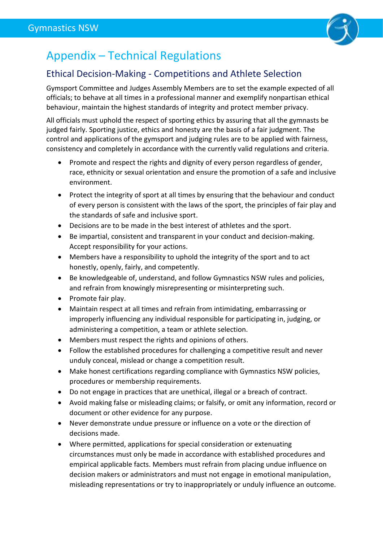

## Appendix – Technical Regulations

## Ethical Decision-Making - Competitions and Athlete Selection

Gymsport Committee and Judges Assembly Members are to set the example expected of all officials; to behave at all times in a professional manner and exemplify nonpartisan ethical behaviour, maintain the highest standards of integrity and protect member privacy.

All officials must uphold the respect of sporting ethics by assuring that all the gymnasts be judged fairly. Sporting justice, ethics and honesty are the basis of a fair judgment. The control and applications of the gymsport and judging rules are to be applied with fairness, consistency and completely in accordance with the currently valid regulations and criteria.

- Promote and respect the rights and dignity of every person regardless of gender, race, ethnicity or sexual orientation and ensure the promotion of a safe and inclusive environment.
- Protect the integrity of sport at all times by ensuring that the behaviour and conduct of every person is consistent with the laws of the sport, the principles of fair play and the standards of safe and inclusive sport.
- Decisions are to be made in the best interest of athletes and the sport.
- Be impartial, consistent and transparent in your conduct and decision-making. Accept responsibility for your actions.
- Members have a responsibility to uphold the integrity of the sport and to act honestly, openly, fairly, and competently.
- Be knowledgeable of, understand, and follow Gymnastics NSW rules and policies, and refrain from knowingly misrepresenting or misinterpreting such.
- Promote fair play.
- Maintain respect at all times and refrain from intimidating, embarrassing or improperly influencing any individual responsible for participating in, judging, or administering a competition, a team or athlete selection.
- Members must respect the rights and opinions of others.
- Follow the established procedures for challenging a competitive result and never unduly conceal, mislead or change a competition result.
- Make honest certifications regarding compliance with Gymnastics NSW policies, procedures or membership requirements.
- Do not engage in practices that are unethical, illegal or a breach of contract.
- Avoid making false or misleading claims; or falsify, or omit any information, record or document or other evidence for any purpose.
- Never demonstrate undue pressure or influence on a vote or the direction of decisions made.
- Where permitted, applications for special consideration or extenuating circumstances must only be made in accordance with established procedures and empirical applicable facts. Members must refrain from placing undue influence on decision makers or administrators and must not engage in emotional manipulation, misleading representations or try to inappropriately or unduly influence an outcome.